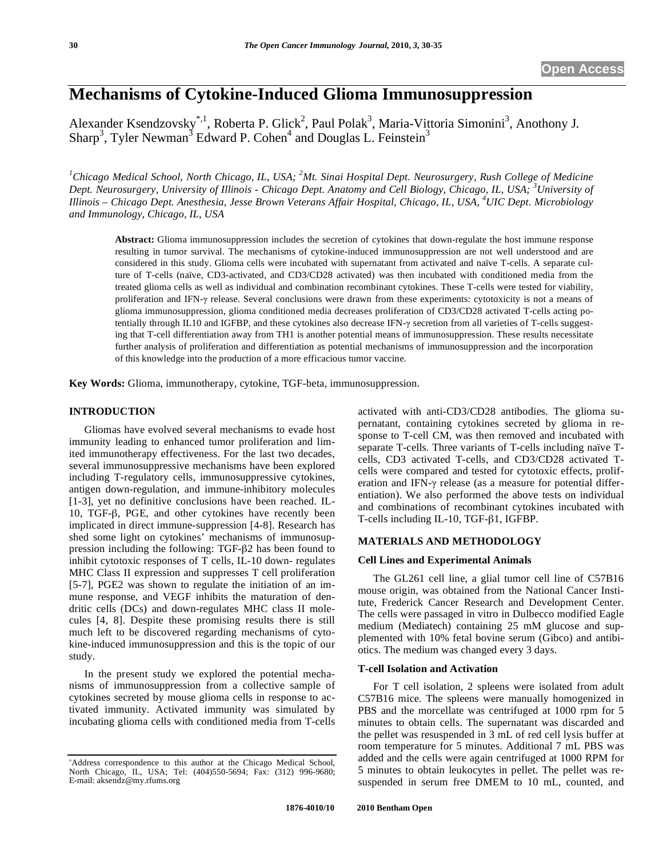# **Mechanisms of Cytokine-Induced Glioma Immunosuppression**

Alexander Ksendzovsky<sup>\*, 1</sup>, Roberta P. Glick<sup>2</sup>, Paul Polak<sup>3</sup>, Maria-Vittoria Simonini<sup>3</sup>, Anothony J. Sharp<sup>3</sup>, Tyler Newman<sup>3</sup> Edward P. Cohen<sup>4</sup> and Douglas L. Feinstein<sup>3</sup>

<sup>1</sup>Chicago Medical School, North Chicago, IL, USA; <sup>2</sup>Mt. Sinai Hospital Dept. Neurosurgery, Rush College of Medicine *Dept. Neurosurgery, University of Illinois - Chicago Dept. Anatomy and Cell Biology, Chicago, IL, USA; <sup>3</sup> University of Illinois – Chicago Dept. Anesthesia, Jesse Brown Veterans Affair Hospital, Chicago, IL, USA, <sup>4</sup> UIC Dept. Microbiology and Immunology, Chicago, IL, USA* 

**Abstract:** Glioma immunosuppression includes the secretion of cytokines that down-regulate the host immune response resulting in tumor survival. The mechanisms of cytokine-induced immunosuppression are not well understood and are considered in this study. Glioma cells were incubated with supernatant from activated and naïve T-cells. A separate culture of T-cells (naïve, CD3-activated, and CD3/CD28 activated) was then incubated with conditioned media from the treated glioma cells as well as individual and combination recombinant cytokines. These T-cells were tested for viability, proliferation and IFN- $\gamma$  release. Several conclusions were drawn from these experiments: cytotoxicity is not a means of glioma immunosuppression, glioma conditioned media decreases proliferation of CD3/CD28 activated T-cells acting potentially through IL10 and IGFBP, and these cytokines also decrease IFN- $\gamma$  secretion from all varieties of T-cells suggesting that T-cell differentiation away from TH1 is another potential means of immunosuppression. These results necessitate further analysis of proliferation and differentiation as potential mechanisms of immunosuppression and the incorporation of this knowledge into the production of a more efficacious tumor vaccine.

**Key Words:** Glioma, immunotherapy, cytokine, TGF-beta, immunosuppression.

# **INTRODUCTION**

Gliomas have evolved several mechanisms to evade host immunity leading to enhanced tumor proliferation and limited immunotherapy effectiveness. For the last two decades, several immunosuppressive mechanisms have been explored including T-regulatory cells, immunosuppressive cytokines, antigen down-regulation, and immune-inhibitory molecules [1-3], yet no definitive conclusions have been reached. IL-10, TGF- $\beta$ , PGE, and other cytokines have recently been implicated in direct immune-suppression [4-8]. Research has shed some light on cytokines' mechanisms of immunosuppression including the following:  $TGF- $\beta$ 2 has been found to$ inhibit cytotoxic responses of T cells, IL-10 down- regulates MHC Class II expression and suppresses T cell proliferation [5-7], PGE2 was shown to regulate the initiation of an immune response, and VEGF inhibits the maturation of dendritic cells (DCs) and down-regulates MHC class II molecules [4, 8]. Despite these promising results there is still much left to be discovered regarding mechanisms of cytokine-induced immunosuppression and this is the topic of our study.

In the present study we explored the potential mechanisms of immunosuppression from a collective sample of cytokines secreted by mouse glioma cells in response to activated immunity. Activated immunity was simulated by incubating glioma cells with conditioned media from T-cells activated with anti-CD3/CD28 antibodies. The glioma supernatant, containing cytokines secreted by glioma in response to T-cell CM, was then removed and incubated with separate T-cells. Three variants of T-cells including naïve Tcells, CD3 activated T-cells, and CD3/CD28 activated Tcells were compared and tested for cytotoxic effects, proliferation and IFN- $\gamma$  release (as a measure for potential differentiation). We also performed the above tests on individual and combinations of recombinant cytokines incubated with T-cells including IL-10, TGF- $\beta$ 1, IGFBP.

# **MATERIALS AND METHODOLOGY**

### **Cell Lines and Experimental Animals**

The GL261 cell line, a glial tumor cell line of C57B16 mouse origin, was obtained from the National Cancer Institute, Frederick Cancer Research and Development Center. The cells were passaged in vitro in Dulbecco modified Eagle medium (Mediatech) containing 25 mM glucose and supplemented with 10% fetal bovine serum (Gibco) and antibiotics. The medium was changed every 3 days.

### **T-cell Isolation and Activation**

For T cell isolation, 2 spleens were isolated from adult C57B16 mice. The spleens were manually homogenized in PBS and the morcellate was centrifuged at 1000 rpm for 5 minutes to obtain cells. The supernatant was discarded and the pellet was resuspended in 3 mL of red cell lysis buffer at room temperature for 5 minutes. Additional 7 mL PBS was added and the cells were again centrifuged at 1000 RPM for 5 minutes to obtain leukocytes in pellet. The pellet was resuspended in serum free DMEM to 10 mL, counted, and

<sup>-</sup> Address correspondence to this author at the Chicago Medical School, North Chicago, IL, USA; Tel: (404)550-5694; Fax: (312) 996-9680; E-mail: aksendz@my.rfums.org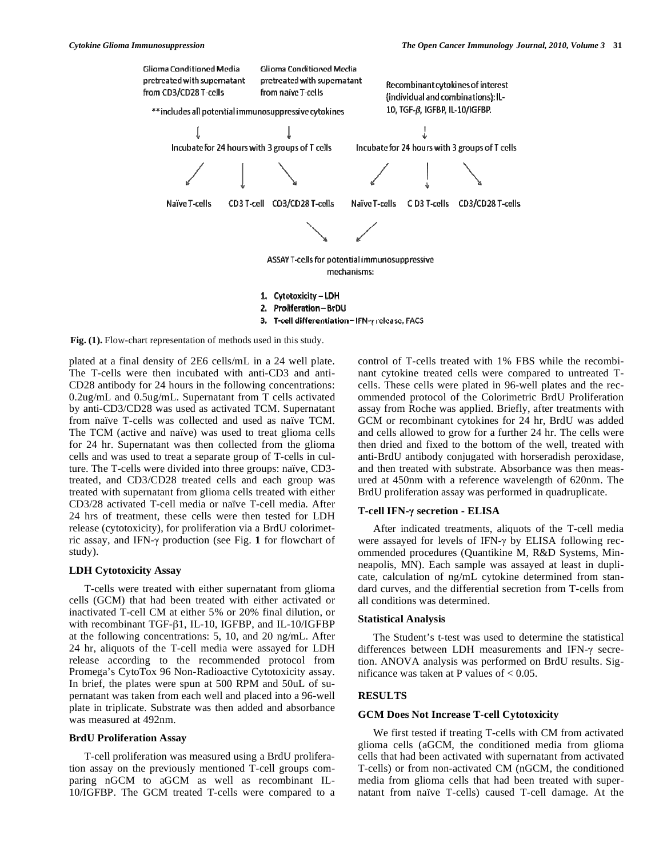

3. T-cell differentiation - IFN- $\gamma$  release, FACS

**Fig. (1).** Flow-chart representation of methods used in this study.

plated at a final density of 2E6 cells/mL in a 24 well plate. The T-cells were then incubated with anti-CD3 and anti-CD28 antibody for 24 hours in the following concentrations: 0.2ug/mL and 0.5ug/mL. Supernatant from T cells activated by anti-CD3/CD28 was used as activated TCM. Supernatant from naïve T-cells was collected and used as naïve TCM. The TCM (active and naïve) was used to treat glioma cells for 24 hr. Supernatant was then collected from the glioma cells and was used to treat a separate group of T-cells in culture. The T-cells were divided into three groups: naïve, CD3 treated, and CD3/CD28 treated cells and each group was treated with supernatant from glioma cells treated with either CD3/28 activated T-cell media or naïve T-cell media. After 24 hrs of treatment, these cells were then tested for LDH release (cytotoxicity), for proliferation via a BrdU colorimetric assay, and IFN- $\gamma$  production (see Fig. 1 for flowchart of study).

### **LDH Cytotoxicity Assay**

T-cells were treated with either supernatant from glioma cells (GCM) that had been treated with either activated or inactivated T-cell CM at either 5% or 20% final dilution, or with recombinant TGF- $\beta$ 1, IL-10, IGFBP, and IL-10/IGFBP at the following concentrations: 5, 10, and 20 ng/mL. After 24 hr, aliquots of the T-cell media were assayed for LDH release according to the recommended protocol from Promega's CytoTox 96 Non-Radioactive Cytotoxicity assay. In brief, the plates were spun at 500 RPM and 50uL of supernatant was taken from each well and placed into a 96-well plate in triplicate. Substrate was then added and absorbance was measured at 492nm.

# **BrdU Proliferation Assay**

T-cell proliferation was measured using a BrdU proliferation assay on the previously mentioned T-cell groups comparing nGCM to aGCM as well as recombinant IL-10/IGFBP. The GCM treated T-cells were compared to a control of T-cells treated with 1% FBS while the recombinant cytokine treated cells were compared to untreated Tcells. These cells were plated in 96-well plates and the recommended protocol of the Colorimetric BrdU Proliferation assay from Roche was applied. Briefly, after treatments with GCM or recombinant cytokines for 24 hr, BrdU was added and cells allowed to grow for a further 24 hr. The cells were then dried and fixed to the bottom of the well, treated with anti-BrdU antibody conjugated with horseradish peroxidase, and then treated with substrate. Absorbance was then measured at 450nm with a reference wavelength of 620nm. The BrdU proliferation assay was performed in quadruplicate.

# **T-cell IFN- secretion - ELISA**

After indicated treatments, aliquots of the T-cell media were assayed for levels of IFN- $\gamma$  by ELISA following recommended procedures (Quantikine M, R&D Systems, Minneapolis, MN). Each sample was assayed at least in duplicate, calculation of ng/mL cytokine determined from standard curves, and the differential secretion from T-cells from all conditions was determined.

# **Statistical Analysis**

The Student's t-test was used to determine the statistical differences between LDH measurements and IFN- $\gamma$  secretion. ANOVA analysis was performed on BrdU results. Significance was taken at P values of  $< 0.05$ .

# **RESULTS**

# **GCM Does Not Increase T-cell Cytotoxicity**

We first tested if treating T-cells with CM from activated glioma cells (aGCM, the conditioned media from glioma cells that had been activated with supernatant from activated T-cells) or from non-activated CM (nGCM, the conditioned media from glioma cells that had been treated with supernatant from naïve T-cells) caused T-cell damage. At the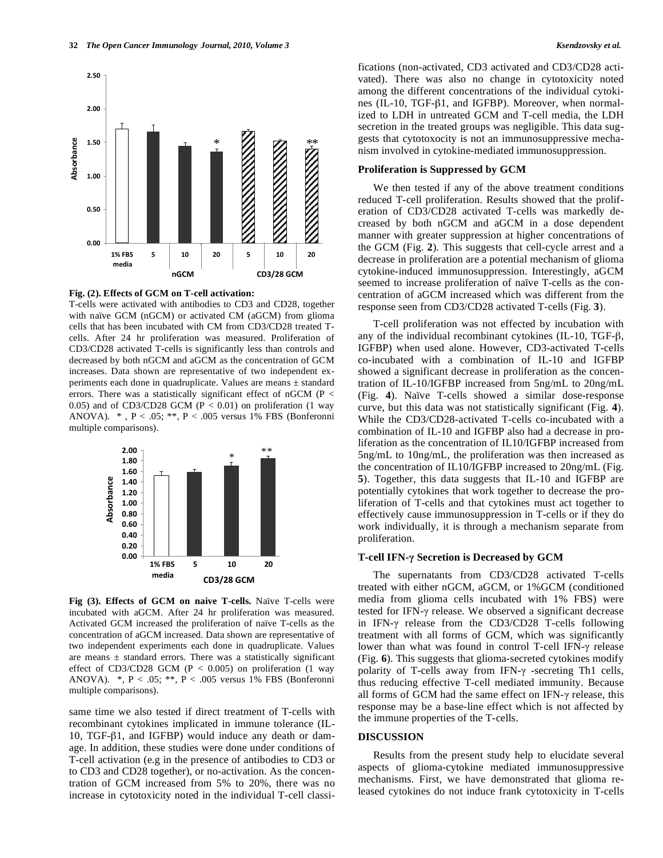

### **Fig. (2). Effects of GCM on T-cell activation:**

T-cells were activated with antibodies to CD3 and CD28, together with naïve GCM (nGCM) or activated CM (aGCM) from glioma cells that has been incubated with CM from CD3/CD28 treated Tcells. After 24 hr proliferation was measured. Proliferation of CD3/CD28 activated T-cells is significantly less than controls and decreased by both nGCM and aGCM as the concentration of GCM increases. Data shown are representative of two independent experiments each done in quadruplicate. Values are means ± standard errors. There was a statistically significant effect of nGCM (P < 0.05) and of CD3/CD28 GCM ( $P < 0.01$ ) on proliferation (1 way ANOVA). \* , P < .05; \*\*, P < .005 versus 1% FBS (Bonferonni multiple comparisons).



**Fig (3). Effects of GCM on naive T-cells.** Naïve T-cells were incubated with aGCM. After 24 hr proliferation was measured. Activated GCM increased the proliferation of naïve T-cells as the concentration of aGCM increased. Data shown are representative of two independent experiments each done in quadruplicate. Values are means  $\pm$  standard errors. There was a statistically significant effect of CD3/CD28 GCM ( $P < 0.005$ ) on proliferation (1 way ANOVA). \*, P < .05; \*\*, P < .005 versus 1% FBS (Bonferonni multiple comparisons).

same time we also tested if direct treatment of T-cells with recombinant cytokines implicated in immune tolerance (IL-10, TGF- $\beta$ 1, and IGFBP) would induce any death or damage. In addition, these studies were done under conditions of T-cell activation (e.g in the presence of antibodies to CD3 or to CD3 and CD28 together), or no-activation. As the concentration of GCM increased from 5% to 20%, there was no increase in cytotoxicity noted in the individual T-cell classifications (non-activated, CD3 activated and CD3/CD28 activated). There was also no change in cytotoxicity noted among the different concentrations of the individual cytokines (IL-10, TGF- $\beta$ 1, and IGFBP). Moreover, when normalized to LDH in untreated GCM and T-cell media, the LDH secretion in the treated groups was negligible. This data suggests that cytotoxocity is not an immunosuppressive mechanism involved in cytokine-mediated immunosuppression.

# **Proliferation is Suppressed by GCM**

We then tested if any of the above treatment conditions reduced T-cell proliferation. Results showed that the proliferation of CD3/CD28 activated T-cells was markedly decreased by both nGCM and aGCM in a dose dependent manner with greater suppression at higher concentrations of the GCM (Fig. **2**). This suggests that cell-cycle arrest and a decrease in proliferation are a potential mechanism of glioma cytokine-induced immunosuppression. Interestingly, aGCM seemed to increase proliferation of naïve T-cells as the concentration of aGCM increased which was different from the response seen from CD3/CD28 activated T-cells (Fig. **3**).

T-cell proliferation was not effected by incubation with any of the individual recombinant cytokines (IL-10, TGF- $\beta$ , IGFBP) when used alone. However, CD3-activated T-cells co-incubated with a combination of IL-10 and IGFBP showed a significant decrease in proliferation as the concentration of IL-10/IGFBP increased from 5ng/mL to 20ng/mL (Fig. **4**). Naïve T-cells showed a similar dose-response curve, but this data was not statistically significant (Fig. **4**). While the CD3/CD28-activated T-cells co-incubated with a combination of IL-10 and IGFBP also had a decrease in proliferation as the concentration of IL10/IGFBP increased from 5ng/mL to 10ng/mL, the proliferation was then increased as the concentration of IL10/IGFBP increased to 20ng/mL (Fig. **5**). Together, this data suggests that IL-10 and IGFBP are potentially cytokines that work together to decrease the proliferation of T-cells and that cytokines must act together to effectively cause immunosuppression in T-cells or if they do work individually, it is through a mechanism separate from proliferation.

#### **T-cell IFN- Secretion is Decreased by GCM**

The supernatants from CD3/CD28 activated T-cells treated with either nGCM, aGCM, or 1%GCM (conditioned media from glioma cells incubated with 1% FBS) were tested for IFN- $\gamma$  release. We observed a significant decrease in IFN- $\gamma$  release from the CD3/CD28 T-cells following treatment with all forms of GCM, which was significantly lower than what was found in control T-cell IFN- $\gamma$  release (Fig. **6**). This suggests that glioma-secreted cytokines modify polarity of T-cells away from IFN- $\gamma$  -secreting Th1 cells, thus reducing effective T-cell mediated immunity. Because all forms of GCM had the same effect on IFN- $\gamma$  release, this response may be a base-line effect which is not affected by the immune properties of the T-cells.

### **DISCUSSION**

Results from the present study help to elucidate several aspects of glioma-cytokine mediated immunosuppressive mechanisms. First, we have demonstrated that glioma released cytokines do not induce frank cytotoxicity in T-cells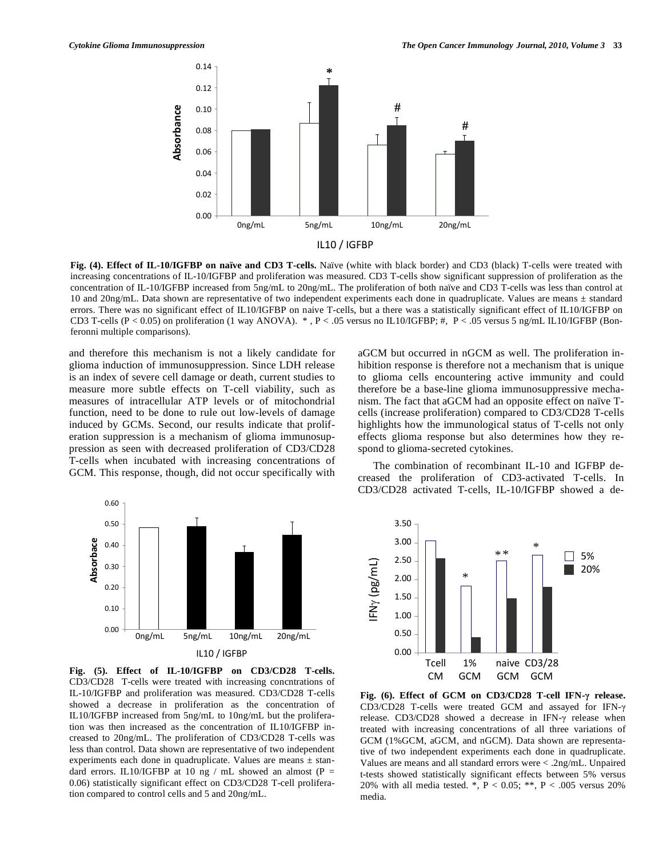

**Fig. (4). Effect of IL-10/IGFBP on naïve and CD3 T-cells.** Naïve (white with black border) and CD3 (black) T-cells were treated with increasing concentrations of IL-10/IGFBP and proliferation was measured. CD3 T-cells show significant suppression of proliferation as the concentration of IL-10/IGFBP increased from 5ng/mL to 20ng/mL. The proliferation of both naïve and CD3 T-cells was less than control at 10 and 20ng/mL. Data shown are representative of two independent experiments each done in quadruplicate. Values are means ± standard errors. There was no significant effect of IL10/IGFBP on naive T-cells, but a there was a statistically significant effect of IL10/IGFBP on CD3 T-cells (P < 0.05) on proliferation (1 way ANOVA). \* , P < .05 versus no IL10/IGFBP; #, P < .05 versus 5 ng/mL IL10/IGFBP (Bonferonni multiple comparisons).

and therefore this mechanism is not a likely candidate for glioma induction of immunosuppression. Since LDH release is an index of severe cell damage or death, current studies to measure more subtle effects on T-cell viability, such as measures of intracellular ATP levels or of mitochondrial function, need to be done to rule out low-levels of damage induced by GCMs. Second, our results indicate that proliferation suppression is a mechanism of glioma immunosuppression as seen with decreased proliferation of CD3/CD28 T-cells when incubated with increasing concentrations of GCM. This response, though, did not occur specifically with



The combination of recombinant IL-10 and IGFBP decreased the proliferation of CD3-activated T-cells. In CD3/CD28 activated T-cells, IL-10/IGFBP showed a de-



**Fig. (5). Effect of IL-10/IGFBP on CD3/CD28 T-cells.**  CD3/CD28 T-cells were treated with increasing concntrations of IL-10/IGFBP and proliferation was measured. CD3/CD28 T-cells showed a decrease in proliferation as the concentration of IL10/IGFBP increased from 5ng/mL to 10ng/mL but the proliferation was then increased as the concentration of IL10/IGFBP increased to 20ng/mL. The proliferation of CD3/CD28 T-cells was less than control. Data shown are representative of two independent experiments each done in quadruplicate. Values are means ± standard errors. IL10/IGFBP at 10 ng / mL showed an almost (P = 0.06) statistically significant effect on CD3/CD28 T-cell proliferation compared to control cells and 5 and 20ng/mL.



**Fig. (6). Effect of GCM on CD3/CD28 T-cell IFN- release.**  CD3/CD28 T-cells were treated GCM and assayed for IFN release.  $CD3/CD28$  showed a decrease in IFN- $\gamma$  release when treated with increasing concentrations of all three variations of GCM (1%GCM, aGCM, and nGCM). Data shown are representative of two independent experiments each done in quadruplicate. Values are means and all standard errors were < .2ng/mL. Unpaired t-tests showed statistically significant effects between 5% versus 20% with all media tested. \*, P < 0.05; \*\*, P < .005 versus 20% media.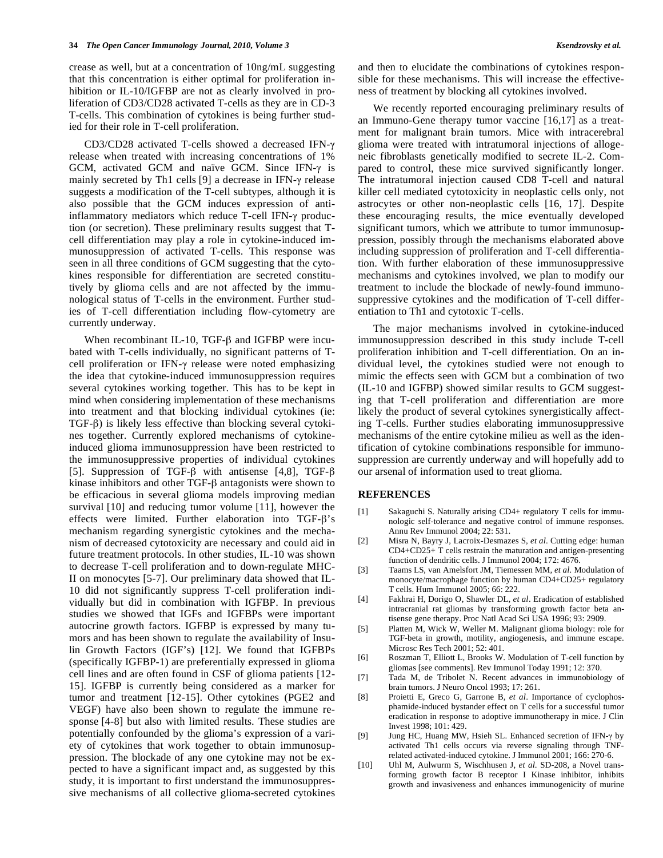crease as well, but at a concentration of 10ng/mL suggesting that this concentration is either optimal for proliferation inhibition or IL-10/IGFBP are not as clearly involved in proliferation of CD3/CD28 activated T-cells as they are in CD-3 T-cells. This combination of cytokines is being further studied for their role in T-cell proliferation.

CD3/CD28 activated T-cells showed a decreased IFN- $\gamma$ release when treated with increasing concentrations of 1% GCM, activated GCM and naïve GCM. Since IFN- $\gamma$  is mainly secreted by Th1 cells  $[9]$  a decrease in IFN- $\gamma$  release suggests a modification of the T-cell subtypes, although it is also possible that the GCM induces expression of antiinflammatory mediators which reduce T-cell IFN- $\gamma$  production (or secretion). These preliminary results suggest that Tcell differentiation may play a role in cytokine-induced immunosuppression of activated T-cells. This response was seen in all three conditions of GCM suggesting that the cytokines responsible for differentiation are secreted constitutively by glioma cells and are not affected by the immunological status of T-cells in the environment. Further studies of T-cell differentiation including flow-cytometry are currently underway.

When recombinant IL-10, TGF- $\beta$  and IGFBP were incubated with T-cells individually, no significant patterns of Tcell proliferation or IFN- $\gamma$  release were noted emphasizing the idea that cytokine-induced immunosuppression requires several cytokines working together. This has to be kept in mind when considering implementation of these mechanisms into treatment and that blocking individual cytokines (ie:  $TGF- $\beta$$ ) is likely less effective than blocking several cytokines together. Currently explored mechanisms of cytokineinduced glioma immunosuppression have been restricted to the immunosuppressive properties of individual cytokines [5]. Suppression of TGF- $\beta$  with antisense [4,8], TGF- $\beta$ kinase inhibitors and other  $TGF-\beta$  antagonists were shown to be efficacious in several glioma models improving median survival [10] and reducing tumor volume [11], however the effects were limited. Further elaboration into TGF- $\beta$ 's mechanism regarding synergistic cytokines and the mechanism of decreased cytotoxicity are necessary and could aid in future treatment protocols. In other studies, IL-10 was shown to decrease T-cell proliferation and to down-regulate MHC-II on monocytes [5-7]. Our preliminary data showed that IL-10 did not significantly suppress T-cell proliferation individually but did in combination with IGFBP. In previous studies we showed that IGFs and IGFBPs were important autocrine growth factors. IGFBP is expressed by many tumors and has been shown to regulate the availability of Insulin Growth Factors (IGF's) [12]. We found that IGFBPs (specifically IGFBP-1) are preferentially expressed in glioma cell lines and are often found in CSF of glioma patients [12- 15]. IGFBP is currently being considered as a marker for tumor and treatment [12-15]. Other cytokines (PGE2 and VEGF) have also been shown to regulate the immune response [4-8] but also with limited results. These studies are potentially confounded by the glioma's expression of a variety of cytokines that work together to obtain immunosuppression. The blockade of any one cytokine may not be expected to have a significant impact and, as suggested by this study, it is important to first understand the immunosuppressive mechanisms of all collective glioma-secreted cytokines and then to elucidate the combinations of cytokines responsible for these mechanisms. This will increase the effectiveness of treatment by blocking all cytokines involved.

We recently reported encouraging preliminary results of an Immuno-Gene therapy tumor vaccine [16,17] as a treatment for malignant brain tumors. Mice with intracerebral glioma were treated with intratumoral injections of allogeneic fibroblasts genetically modified to secrete IL-2. Compared to control, these mice survived significantly longer. The intratumoral injection caused CD8 T-cell and natural killer cell mediated cytotoxicity in neoplastic cells only, not astrocytes or other non-neoplastic cells [16, 17]. Despite these encouraging results, the mice eventually developed significant tumors, which we attribute to tumor immunosuppression, possibly through the mechanisms elaborated above including suppression of proliferation and T-cell differentiation. With further elaboration of these immunosuppressive mechanisms and cytokines involved, we plan to modify our treatment to include the blockade of newly-found immunosuppressive cytokines and the modification of T-cell differentiation to Th1 and cytotoxic T-cells.

The major mechanisms involved in cytokine-induced immunosuppression described in this study include T-cell proliferation inhibition and T-cell differentiation. On an individual level, the cytokines studied were not enough to mimic the effects seen with GCM but a combination of two (IL-10 and IGFBP) showed similar results to GCM suggesting that T-cell proliferation and differentiation are more likely the product of several cytokines synergistically affecting T-cells. Further studies elaborating immunosuppressive mechanisms of the entire cytokine milieu as well as the identification of cytokine combinations responsible for immunosuppression are currently underway and will hopefully add to our arsenal of information used to treat glioma.

### **REFERENCES**

- [1] Sakaguchi S. Naturally arising CD4+ regulatory T cells for immunologic self-tolerance and negative control of immune responses. Annu Rev Immunol 2004; 22: 531.
- [2] Misra N, Bayry J, Lacroix-Desmazes S, *et al*. Cutting edge: human CD4+CD25+ T cells restrain the maturation and antigen-presenting function of dendritic cells. J Immunol 2004; 172: 4676.
- [3] Taams LS, van Amelsfort JM, Tiemessen MM, *et al.* Modulation of monocyte/macrophage function by human CD4+CD25+ regulatory T cells. Hum Immunol 2005; 66: 222.
- [4] Fakhrai H, Dorigo O, Shawler DL, *et al*. Eradication of established intracranial rat gliomas by transforming growth factor beta antisense gene therapy. Proc Natl Acad Sci USA 1996; 93: 2909.
- [5] Platten M, Wick W, Weller M. Malignant glioma biology: role for TGF-beta in growth, motility, angiogenesis, and immune escape. Microsc Res Tech 2001; 52: 401.
- [6] Roszman T, Elliott L, Brooks W. Modulation of T-cell function by gliomas [see comments]. Rev Immunol Today 1991; 12: 370.
- [7] Tada M, de Tribolet N. Recent advances in immunobiology of brain tumors. J Neuro Oncol 1993; 17: 261.
- [8] Proietti E, Greco G, Garrone B, *et al*. Importance of cyclophosphamide-induced bystander effect on T cells for a successful tumor eradication in response to adoptive immunotherapy in mice. J Clin Invest 1998; 101: 429.
- [9] Jung HC, Huang MW, Hsieh SL. Enhanced secretion of IFN- $\gamma$  by activated Th1 cells occurs via reverse signaling through TNFrelated activated-induced cytokine. J Immunol 2001; 166: 270-6.
- [10] Uhl M, Aulwurm S, Wischhusen J, *et al*. SD-208, a Novel transforming growth factor B receptor I Kinase inhibitor, inhibits growth and invasiveness and enhances immunogenicity of murine